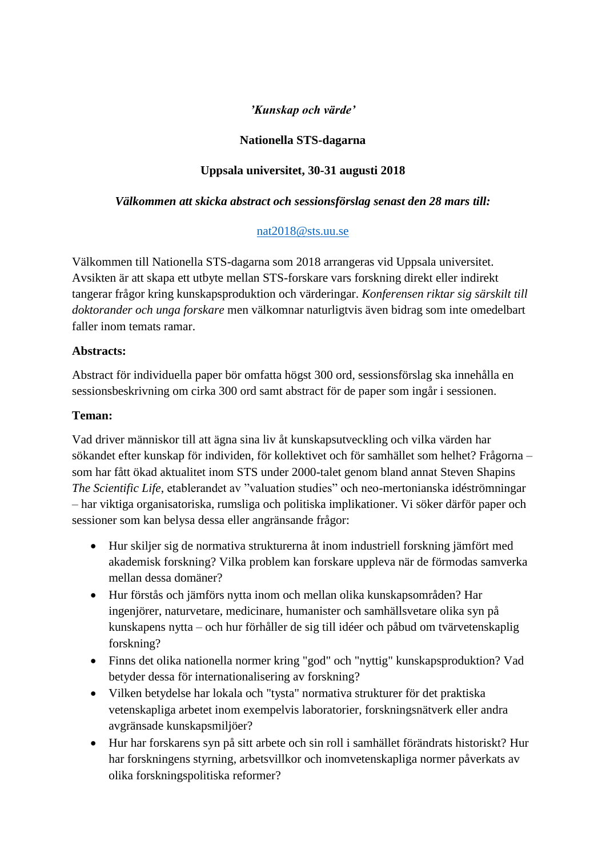## *'Kunskap och värde'*

### **Nationella STS-dagarna**

# **Uppsala universitet, 30-31 augusti 2018**

#### *Välkommen att skicka abstract och sessionsförslag senast den 28 mars till:*

### [nat2018@sts.uu.se](mailto:nat2018@sts.uu.se)

Välkommen till Nationella STS-dagarna som 2018 arrangeras vid Uppsala universitet. Avsikten är att skapa ett utbyte mellan STS-forskare vars forskning direkt eller indirekt tangerar frågor kring kunskapsproduktion och värderingar. *Konferensen riktar sig särskilt till doktorander och unga forskare* men välkomnar naturligtvis även bidrag som inte omedelbart faller inom temats ramar.

#### **Abstracts:**

Abstract för individuella paper bör omfatta högst 300 ord, sessionsförslag ska innehålla en sessionsbeskrivning om cirka 300 ord samt abstract för de paper som ingår i sessionen.

#### **Teman:**

Vad driver människor till att ägna sina liv åt kunskapsutveckling och vilka värden har sökandet efter kunskap för individen, för kollektivet och för samhället som helhet? Frågorna – som har fått ökad aktualitet inom STS under 2000-talet genom bland annat Steven Shapins *The Scientific Life*, etablerandet av "valuation studies" och neo-mertonianska idéströmningar – har viktiga organisatoriska, rumsliga och politiska implikationer. Vi söker därför paper och sessioner som kan belysa dessa eller angränsande frågor:

- Hur skiljer sig de normativa strukturerna åt inom industriell forskning jämfört med akademisk forskning? Vilka problem kan forskare uppleva när de förmodas samverka mellan dessa domäner?
- Hur förstås och jämförs nytta inom och mellan olika kunskapsområden? Har ingenjörer, naturvetare, medicinare, humanister och samhällsvetare olika syn på kunskapens nytta – och hur förhåller de sig till idéer och påbud om tvärvetenskaplig forskning?
- Finns det olika nationella normer kring "god" och "nyttig" kunskapsproduktion? Vad betyder dessa för internationalisering av forskning?
- Vilken betydelse har lokala och "tysta" normativa strukturer för det praktiska vetenskapliga arbetet inom exempelvis laboratorier, forskningsnätverk eller andra avgränsade kunskapsmiljöer?
- Hur har forskarens syn på sitt arbete och sin roll i samhället förändrats historiskt? Hur har forskningens styrning, arbetsvillkor och inomvetenskapliga normer påverkats av olika forskningspolitiska reformer?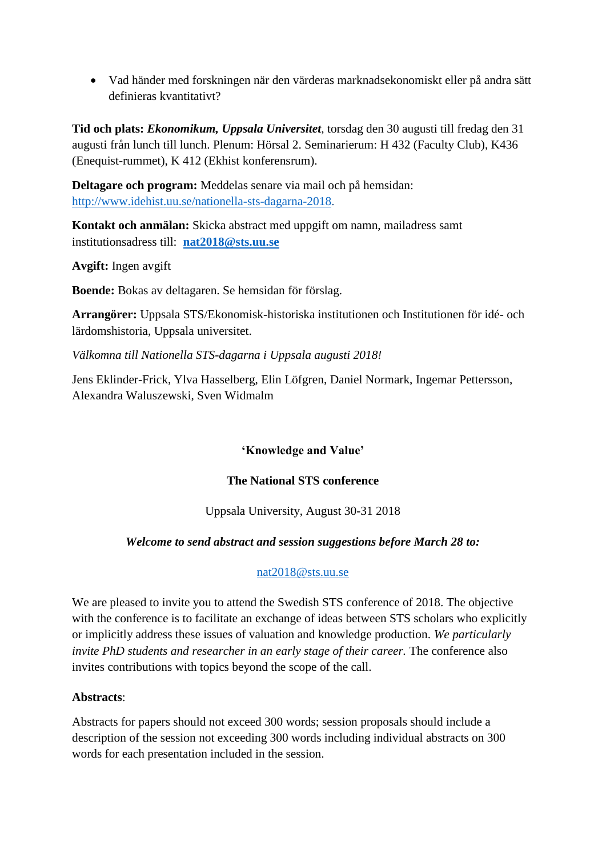Vad händer med forskningen när den värderas marknadsekonomiskt eller på andra sätt definieras kvantitativt?

**Tid och plats:** *Ekonomikum, Uppsala Universitet*, torsdag den 30 augusti till fredag den 31 augusti från lunch till lunch. Plenum: Hörsal 2. Seminarierum: H 432 (Faculty Club), K436 (Enequist-rummet), K 412 (Ekhist konferensrum).

**Deltagare och program:** Meddelas senare via mail och på hemsidan: [http://www.idehist.uu.se/nationella-sts-dagarna-2018.](http://www.idehist.uu.se/nationella-sts-dagarna-2018)

**Kontakt och anmälan:** Skicka abstract med uppgift om namn, mailadress samt institutionsadress till: **[nat2018@sts.uu.se](mailto:nat2018@sts.uu.se)**

**Avgift:** Ingen avgift

**Boende:** Bokas av deltagaren. Se hemsidan för förslag.

**Arrangörer:** Uppsala STS/Ekonomisk-historiska institutionen och Institutionen för idé- och lärdomshistoria, Uppsala universitet.

*Välkomna till Nationella STS-dagarna i Uppsala augusti 2018!*

Jens Eklinder-Frick, Ylva Hasselberg, Elin Löfgren, Daniel Normark, Ingemar Pettersson, Alexandra Waluszewski, Sven Widmalm

## **'Knowledge and Value'**

## **The National STS conference**

Uppsala University, August 30-31 2018

## *Welcome to send abstract and session suggestions before March 28 to:*

#### [nat2018@sts.uu.se](mailto:nat2018@sts.uu.se)

We are pleased to invite you to attend the Swedish STS conference of 2018. The objective with the conference is to facilitate an exchange of ideas between STS scholars who explicitly or implicitly address these issues of valuation and knowledge production. *We particularly invite PhD students and researcher in an early stage of their career.* The conference also invites contributions with topics beyond the scope of the call.

#### **Abstracts**:

Abstracts for papers should not exceed 300 words; session proposals should include a description of the session not exceeding 300 words including individual abstracts on 300 words for each presentation included in the session.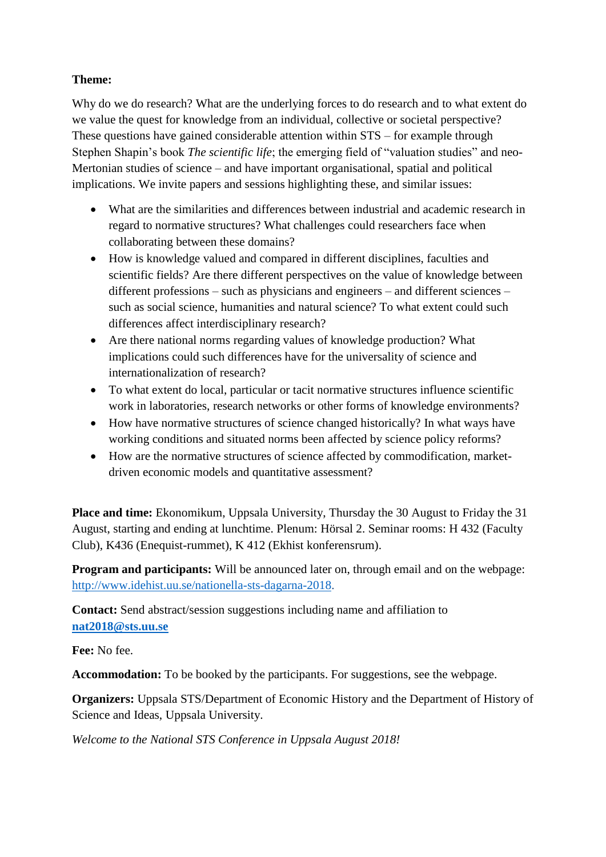### **Theme:**

Why do we do research? What are the underlying forces to do research and to what extent do we value the quest for knowledge from an individual, collective or societal perspective? These questions have gained considerable attention within STS – for example through Stephen Shapin's book *The scientific life*; the emerging field of "valuation studies" and neo-Mertonian studies of science – and have important organisational, spatial and political implications. We invite papers and sessions highlighting these, and similar issues:

- What are the similarities and differences between industrial and academic research in regard to normative structures? What challenges could researchers face when collaborating between these domains?
- How is knowledge valued and compared in different disciplines, faculties and scientific fields? Are there different perspectives on the value of knowledge between different professions – such as physicians and engineers – and different sciences – such as social science, humanities and natural science? To what extent could such differences affect interdisciplinary research?
- Are there national norms regarding values of knowledge production? What implications could such differences have for the universality of science and internationalization of research?
- To what extent do local, particular or tacit normative structures influence scientific work in laboratories, research networks or other forms of knowledge environments?
- How have normative structures of science changed historically? In what ways have working conditions and situated norms been affected by science policy reforms?
- How are the normative structures of science affected by commodification, marketdriven economic models and quantitative assessment?

Place and time: Ekonomikum, Uppsala University, Thursday the 30 August to Friday the 31 August, starting and ending at lunchtime. Plenum: Hörsal 2. Seminar rooms: H 432 (Faculty Club), K436 (Enequist-rummet), K 412 (Ekhist konferensrum).

**Program and participants:** Will be announced later on, through email and on the webpage: [http://www.idehist.uu.se/nationella-sts-dagarna-2018.](http://www.idehist.uu.se/nationella-sts-dagarna-2018)

**Contact:** Send abstract/session suggestions including name and affiliation to **[nat2018@sts.uu.se](mailto:nat2018@sts.uu.se)**

**Fee:** No fee.

**Accommodation:** To be booked by the participants. For suggestions, see the webpage.

**Organizers:** Uppsala STS/Department of Economic History and the Department of History of Science and Ideas, Uppsala University.

*Welcome to the National STS Conference in Uppsala August 2018!*